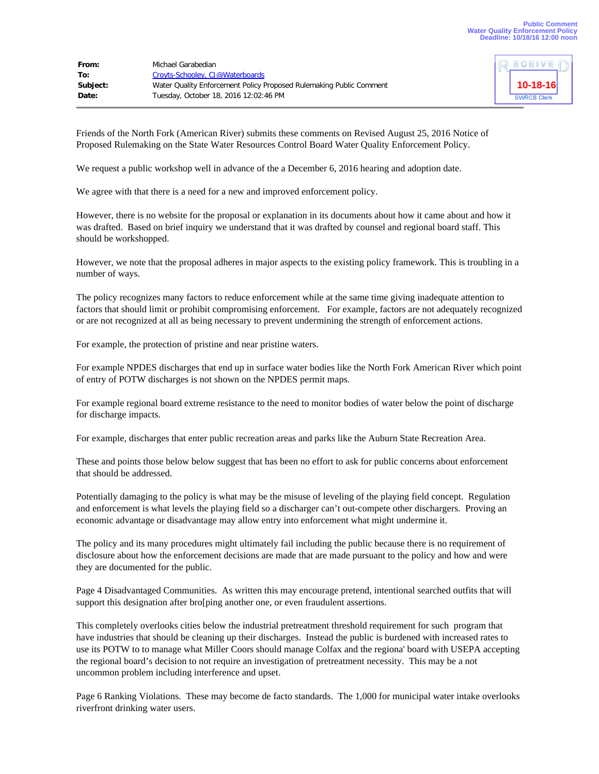| From:    | Michael Garabedian                                                  |
|----------|---------------------------------------------------------------------|
| To:      | Croyts-Schooley, CJ@Waterboards                                     |
| Subject: | Water Quality Enforcement Policy Proposed Rulemaking Public Comment |
| Date:    | Tuesday, October 18, 2016 12:02:46 PM                               |



Friends of the North Fork (American River) submits these comments on Revised August 25, 2016 Notice of Proposed Rulemaking on the State Water Resources Control Board Water Quality Enforcement Policy.

We request a public workshop well in advance of the a December 6, 2016 hearing and adoption date.

We agree with that there is a need for a new and improved enforcement policy.

However, there is no website for the proposal or explanation in its documents about how it came about and how it was drafted. Based on brief inquiry we understand that it was drafted by counsel and regional board staff. This should be workshopped.

However, we note that the proposal adheres in major aspects to the existing policy framework. This is troubling in a number of ways.

The policy recognizes many factors to reduce enforcement while at the same time giving inadequate attention to factors that should limit or prohibit compromising enforcement. For example, factors are not adequately recognized or are not recognized at all as being necessary to prevent undermining the strength of enforcement actions.

For example, the protection of pristine and near pristine waters.

For example NPDES discharges that end up in surface water bodies like the North Fork American River which point of entry of POTW discharges is not shown on the NPDES permit maps.

For example regional board extreme resistance to the need to monitor bodies of water below the point of discharge for discharge impacts.

For example, discharges that enter public recreation areas and parks like the Auburn State Recreation Area.

These and points those below below suggest that has been no effort to ask for public concerns about enforcement that should be addressed.

Potentially damaging to the policy is what may be the misuse of leveling of the playing field concept. Regulation and enforcement is what levels the playing field so a discharger can't out-compete other dischargers. Proving an economic advantage or disadvantage may allow entry into enforcement what might undermine it.

The policy and its many procedures might ultimately fail including the public because there is no requirement of disclosure about how the enforcement decisions are made that are made pursuant to the policy and how and were they are documented for the public.

Page 4 Disadvantaged Communities. As written this may encourage pretend, intentional searched outfits that will support this designation after bro[ping another one, or even fraudulent assertions.

This completely overlooks cities below the industrial pretreatment threshold requirement for such program that have industries that should be cleaning up their discharges. Instead the public is burdened with increased rates to use its POTW to to manage what Miller Coors should manage Colfax and the regiona' board with USEPA accepting the regional board's decision to not require an investigation of pretreatment necessity. This may be a not uncommon problem including interference and upset.

Page 6 Ranking Violations. These may become de facto standards. The 1,000 for municipal water intake overlooks riverfront drinking water users.